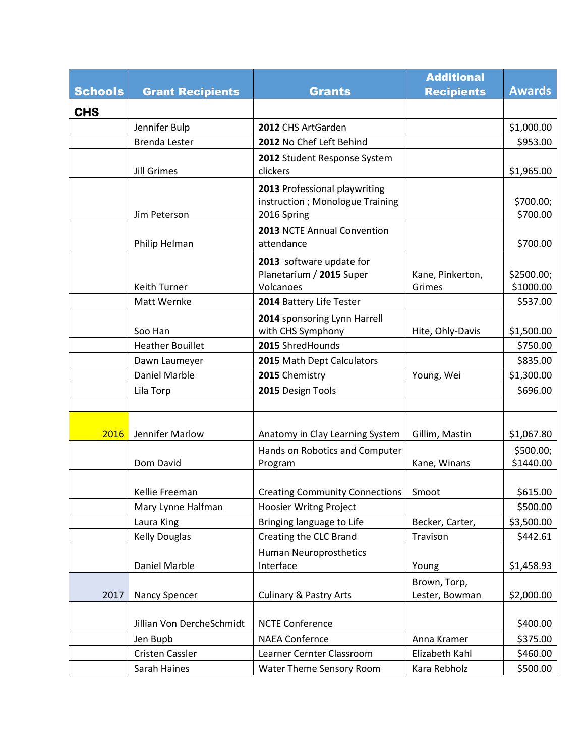|                |                             |                                                                                 | <b>Additional</b>              |                         |
|----------------|-----------------------------|---------------------------------------------------------------------------------|--------------------------------|-------------------------|
| <b>Schools</b> | <b>Grant Recipients</b>     | <b>Grants</b>                                                                   | <b>Recipients</b>              | <b>Awards</b>           |
| <b>CHS</b>     |                             |                                                                                 |                                |                         |
|                | Jennifer Bulp               | 2012 CHS ArtGarden                                                              |                                | \$1,000.00              |
|                | <b>Brenda Lester</b>        | 2012 No Chef Left Behind                                                        |                                | \$953.00                |
|                | <b>Jill Grimes</b>          | 2012 Student Response System<br>clickers                                        |                                | \$1,965.00              |
|                | Jim Peterson                | 2013 Professional playwriting<br>instruction; Monologue Training<br>2016 Spring |                                | \$700.00;<br>\$700.00   |
|                | Philip Helman               | 2013 NCTE Annual Convention<br>attendance                                       |                                | \$700.00                |
|                | Keith Turner<br>Matt Wernke | 2013 software update for<br>Planetarium / 2015 Super<br>Volcanoes               | Kane, Pinkerton,<br>Grimes     | \$2500.00;<br>\$1000.00 |
|                |                             | 2014 Battery Life Tester                                                        |                                | \$537.00                |
|                | Soo Han                     | 2014 sponsoring Lynn Harrell<br>with CHS Symphony                               | Hite, Ohly-Davis               | \$1,500.00              |
|                | <b>Heather Bouillet</b>     | 2015 ShredHounds                                                                |                                | \$750.00                |
|                | Dawn Laumeyer               | 2015 Math Dept Calculators                                                      |                                | \$835.00                |
|                | <b>Daniel Marble</b>        | 2015 Chemistry                                                                  | Young, Wei                     | \$1,300.00              |
|                | Lila Torp                   | 2015 Design Tools                                                               |                                | \$696.00                |
|                |                             |                                                                                 |                                |                         |
| 2016           | Jennifer Marlow             | Anatomy in Clay Learning System                                                 | Gillim, Mastin                 | \$1,067.80              |
|                | Dom David                   | Hands on Robotics and Computer<br>Program                                       | Kane, Winans                   | \$500.00;<br>\$1440.00  |
|                | Kellie Freeman              | <b>Creating Community Connections</b>                                           | Smoot                          | \$615.00                |
|                | Mary Lynne Halfman          | <b>Hoosier Writng Project</b>                                                   |                                | \$500.00                |
|                | Laura King                  | Bringing language to Life                                                       | Becker, Carter,                | \$3,500.00              |
|                | <b>Kelly Douglas</b>        | Creating the CLC Brand                                                          | Travison                       | \$442.61                |
|                | Daniel Marble               | Human Neuroprosthetics<br>Interface                                             | Young                          | \$1,458.93              |
| 2017           | Nancy Spencer               | <b>Culinary &amp; Pastry Arts</b>                                               | Brown, Torp,<br>Lester, Bowman | \$2,000.00              |
|                | Jillian Von DercheSchmidt   | <b>NCTE Conference</b>                                                          |                                | \$400.00                |
|                | Jen Bupb                    | <b>NAEA Confernce</b>                                                           | Anna Kramer                    | \$375.00                |
|                | Cristen Cassler             | Learner Cernter Classroom                                                       | Elizabeth Kahl                 | \$460.00                |
|                | Sarah Haines                | Water Theme Sensory Room                                                        | Kara Rebholz                   | \$500.00                |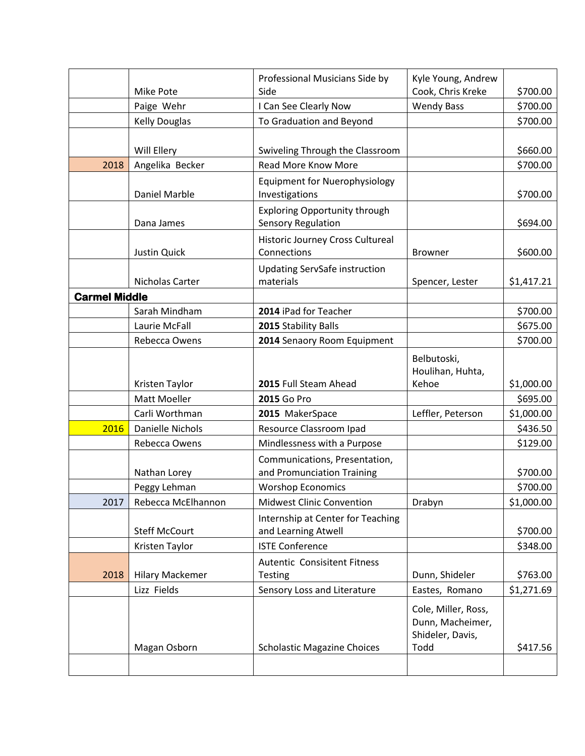|                      |                        | Professional Musicians Side by                                    | Kyle Young, Andrew                                                  |            |
|----------------------|------------------------|-------------------------------------------------------------------|---------------------------------------------------------------------|------------|
|                      | Mike Pote              | Side                                                              | Cook, Chris Kreke                                                   | \$700.00   |
|                      | Paige Wehr             | I Can See Clearly Now                                             | <b>Wendy Bass</b>                                                   | \$700.00   |
|                      | <b>Kelly Douglas</b>   | To Graduation and Beyond                                          |                                                                     | \$700.00   |
|                      |                        |                                                                   |                                                                     |            |
|                      | Will Ellery            | Swiveling Through the Classroom                                   |                                                                     | \$660.00   |
| 2018                 | Angelika Becker        | Read More Know More                                               |                                                                     | \$700.00   |
|                      | Daniel Marble          | <b>Equipment for Nuerophysiology</b><br>Investigations            |                                                                     | \$700.00   |
|                      | Dana James             | <b>Exploring Opportunity through</b><br><b>Sensory Regulation</b> |                                                                     | \$694.00   |
|                      |                        | Historic Journey Cross Cultureal                                  |                                                                     |            |
|                      | <b>Justin Quick</b>    | Connections                                                       | Browner                                                             | \$600.00   |
|                      | Nicholas Carter        | <b>Updating ServSafe instruction</b><br>materials                 | Spencer, Lester                                                     | \$1,417.21 |
| <b>Carmel Middle</b> |                        |                                                                   |                                                                     |            |
|                      | Sarah Mindham          | 2014 iPad for Teacher                                             |                                                                     | \$700.00   |
|                      | Laurie McFall          | 2015 Stability Balls                                              |                                                                     | \$675.00   |
|                      | Rebecca Owens          | 2014 Senaory Room Equipment                                       |                                                                     | \$700.00   |
|                      |                        |                                                                   | Belbutoski,<br>Houlihan, Huhta,                                     |            |
|                      | Kristen Taylor         | 2015 Full Steam Ahead                                             | Kehoe                                                               | \$1,000.00 |
|                      | <b>Matt Moeller</b>    | 2015 Go Pro                                                       |                                                                     | \$695.00   |
|                      | Carli Worthman         | 2015 MakerSpace                                                   | Leffler, Peterson                                                   | \$1,000.00 |
| 2016                 | Danielle Nichols       | Resource Classroom Ipad                                           |                                                                     | \$436.50   |
|                      | Rebecca Owens          | Mindlessness with a Purpose                                       |                                                                     | \$129.00   |
|                      | Nathan Lorey           | Communications, Presentation,<br>and Promunciation Training       |                                                                     | \$700.00   |
|                      | Peggy Lehman           | <b>Worshop Economics</b>                                          |                                                                     | \$700.00   |
| 2017                 | Rebecca McElhannon     | <b>Midwest Clinic Convention</b>                                  | Drabyn                                                              | \$1,000.00 |
|                      | <b>Steff McCourt</b>   | Internship at Center for Teaching<br>and Learning Atwell          |                                                                     | \$700.00   |
|                      | Kristen Taylor         | <b>ISTE Conference</b>                                            |                                                                     | \$348.00   |
|                      |                        | Autentic Consisitent Fitness                                      |                                                                     |            |
| 2018                 | <b>Hilary Mackemer</b> | Testing                                                           | Dunn, Shideler                                                      | \$763.00   |
|                      | Lizz Fields            | Sensory Loss and Literature                                       | Eastes, Romano                                                      | \$1,271.69 |
|                      | Magan Osborn           | <b>Scholastic Magazine Choices</b>                                | Cole, Miller, Ross,<br>Dunn, Macheimer,<br>Shideler, Davis,<br>Todd | \$417.56   |
|                      |                        |                                                                   |                                                                     |            |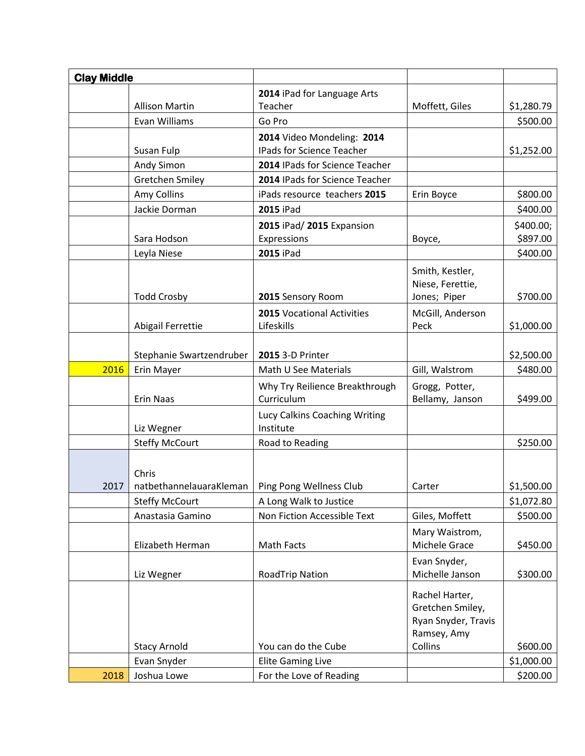| <b>Clay Middle</b> |                                     |                                              |                                                                          |            |
|--------------------|-------------------------------------|----------------------------------------------|--------------------------------------------------------------------------|------------|
|                    |                                     | 2014 iPad for Language Arts                  |                                                                          |            |
|                    | <b>Allison Martin</b>               | Teacher                                      | Moffett, Giles                                                           | \$1,280.79 |
|                    | Evan Williams                       | Go Pro                                       |                                                                          | \$500.00   |
|                    |                                     | 2014 Video Mondeling: 2014                   |                                                                          |            |
|                    | Susan Fulp                          | IPads for Science Teacher                    |                                                                          | \$1,252.00 |
|                    | Andy Simon                          | 2014 IPads for Science Teacher               |                                                                          |            |
|                    | Gretchen Smiley                     | 2014 IPads for Science Teacher               |                                                                          |            |
|                    | Amy Collins                         | iPads resource teachers 2015                 | Erin Boyce                                                               | \$800.00   |
|                    | Jackie Dorman                       | <b>2015 iPad</b>                             |                                                                          | \$400.00   |
|                    |                                     | 2015 iPad/2015 Expansion                     |                                                                          | \$400.00;  |
|                    | Sara Hodson                         | Expressions                                  | Boyce,                                                                   | \$897.00   |
|                    | Leyla Niese                         | <b>2015 iPad</b>                             |                                                                          | \$400.00   |
|                    |                                     |                                              | Smith, Kestler,                                                          |            |
|                    |                                     |                                              | Niese, Ferettie,                                                         |            |
|                    | <b>Todd Crosby</b>                  | 2015 Sensory Room                            | Jones; Piper                                                             | \$700.00   |
|                    |                                     | 2015 Vocational Activities                   | McGill, Anderson                                                         |            |
|                    | Abigail Ferrettie                   | Lifeskills                                   | Peck                                                                     | \$1,000.00 |
|                    |                                     |                                              |                                                                          |            |
|                    | Stephanie Swartzendruber            | 2015 3-D Printer                             |                                                                          | \$2,500.00 |
| 2016               | Erin Mayer                          | Math U See Materials                         | Gill, Walstrom                                                           | \$480.00   |
|                    | <b>Erin Naas</b>                    | Why Try Reilience Breakthrough<br>Curriculum | Grogg, Potter,<br>Bellamy, Janson                                        | \$499.00   |
|                    |                                     | Lucy Calkins Coaching Writing<br>Institute   |                                                                          |            |
|                    | Liz Wegner<br><b>Steffy McCourt</b> | Road to Reading                              |                                                                          | \$250.00   |
|                    |                                     |                                              |                                                                          |            |
|                    | Chris                               |                                              |                                                                          |            |
| 2017               | natbethannelauaraKleman             | Ping Pong Wellness Club                      | Carter                                                                   | \$1,500.00 |
|                    | <b>Steffy McCourt</b>               | A Long Walk to Justice                       |                                                                          | \$1,072.80 |
|                    | Anastasia Gamino                    | Non Fiction Accessible Text                  | Giles, Moffett                                                           | \$500.00   |
|                    |                                     |                                              | Mary Waistrom,                                                           |            |
|                    | Elizabeth Herman                    | Math Facts                                   | Michele Grace                                                            | \$450.00   |
|                    |                                     |                                              | Evan Snyder,                                                             |            |
|                    | Liz Wegner                          | <b>RoadTrip Nation</b>                       | Michelle Janson                                                          | \$300.00   |
|                    |                                     |                                              | Rachel Harter,<br>Gretchen Smiley,<br>Ryan Snyder, Travis<br>Ramsey, Amy |            |
|                    | <b>Stacy Arnold</b>                 | You can do the Cube                          | Collins                                                                  | \$600.00   |
|                    | Evan Snyder                         | <b>Elite Gaming Live</b>                     |                                                                          | \$1,000.00 |
| 2018               | Joshua Lowe                         | For the Love of Reading                      |                                                                          | \$200.00   |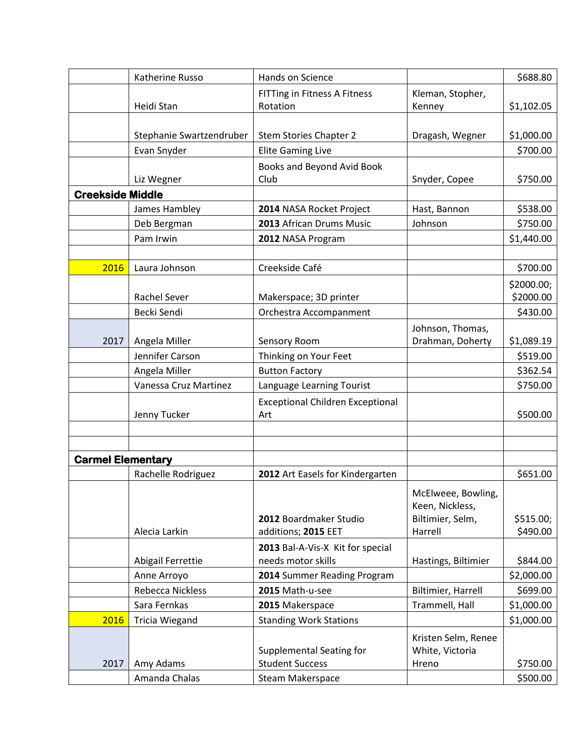|                          | Katherine Russo                  | Hands on Science                                       |                                      | \$688.80               |
|--------------------------|----------------------------------|--------------------------------------------------------|--------------------------------------|------------------------|
|                          | Heidi Stan                       | <b>FITTing in Fitness A Fitness</b><br>Rotation        | Kleman, Stopher,<br>Kenney           | \$1,102.05             |
|                          |                                  |                                                        |                                      |                        |
|                          | Stephanie Swartzendruber         | Stem Stories Chapter 2                                 | Dragash, Wegner                      | \$1,000.00             |
|                          | Evan Snyder                      | <b>Elite Gaming Live</b>                               |                                      | \$700.00               |
|                          |                                  | Books and Beyond Avid Book                             |                                      |                        |
|                          | Liz Wegner                       | Club                                                   | Snyder, Copee                        | \$750.00               |
| <b>Creekside Middle</b>  |                                  |                                                        |                                      |                        |
|                          | James Hambley                    | 2014 NASA Rocket Project                               | Hast, Bannon                         | \$538.00               |
|                          | Deb Bergman                      | 2013 African Drums Music                               | Johnson                              | \$750.00               |
|                          | Pam Irwin                        | 2012 NASA Program                                      |                                      | \$1,440.00             |
|                          |                                  |                                                        |                                      |                        |
| 2016                     | Laura Johnson                    | Creekside Café                                         |                                      | \$700.00               |
|                          |                                  |                                                        |                                      | \$2000.00;             |
|                          | <b>Rachel Sever</b>              | Makerspace; 3D printer                                 |                                      | \$2000.00              |
|                          | Becki Sendi                      | Orchestra Accompanment                                 |                                      | \$430.00               |
|                          |                                  |                                                        | Johnson, Thomas,                     |                        |
| 2017                     | Angela Miller                    | Sensory Room                                           | Drahman, Doherty                     | \$1,089.19             |
|                          | Jennifer Carson                  | Thinking on Your Feet                                  |                                      | \$519.00               |
|                          | Angela Miller                    | <b>Button Factory</b>                                  |                                      | \$362.54               |
|                          | Vanessa Cruz Martinez            | Language Learning Tourist                              |                                      | \$750.00               |
|                          | Jenny Tucker                     | <b>Exceptional Children Exceptional</b><br>Art         |                                      | \$500.00               |
|                          |                                  |                                                        |                                      |                        |
|                          |                                  |                                                        |                                      |                        |
| <b>Carmel Elementary</b> |                                  |                                                        |                                      |                        |
|                          | Rachelle Rodriguez               | 2012 Art Easels for Kindergarten                       |                                      | \$651.00               |
|                          |                                  |                                                        | McElweee, Bowling,                   |                        |
|                          |                                  | 2012 Boardmaker Studio                                 | Keen, Nickless,<br>Biltimier, Selm,  | \$515.00;              |
|                          | Alecia Larkin                    | additions; 2015 EET                                    | Harrell                              | \$490.00               |
|                          |                                  |                                                        |                                      |                        |
|                          | Abigail Ferrettie                | 2013 Bal-A-Vis-X Kit for special<br>needs motor skills | Hastings, Biltimier                  | \$844.00               |
|                          | Anne Arroyo                      | 2014 Summer Reading Program                            |                                      | \$2,000.00             |
|                          |                                  |                                                        |                                      |                        |
|                          | Rebecca Nickless<br>Sara Fernkas | 2015 Math-u-see<br>2015 Makerspace                     | Biltimier, Harrell<br>Trammell, Hall | \$699.00<br>\$1,000.00 |
|                          |                                  |                                                        |                                      |                        |
| 2016                     | <b>Tricia Wiegand</b>            | <b>Standing Work Stations</b>                          |                                      | \$1,000.00             |
|                          |                                  |                                                        | Kristen Selm, Renee                  |                        |
|                          |                                  | Supplemental Seating for                               | White, Victoria                      |                        |
| 2017                     | Amy Adams                        | <b>Student Success</b>                                 | Hreno                                | \$750.00               |
|                          | Amanda Chalas                    | Steam Makerspace                                       |                                      | \$500.00               |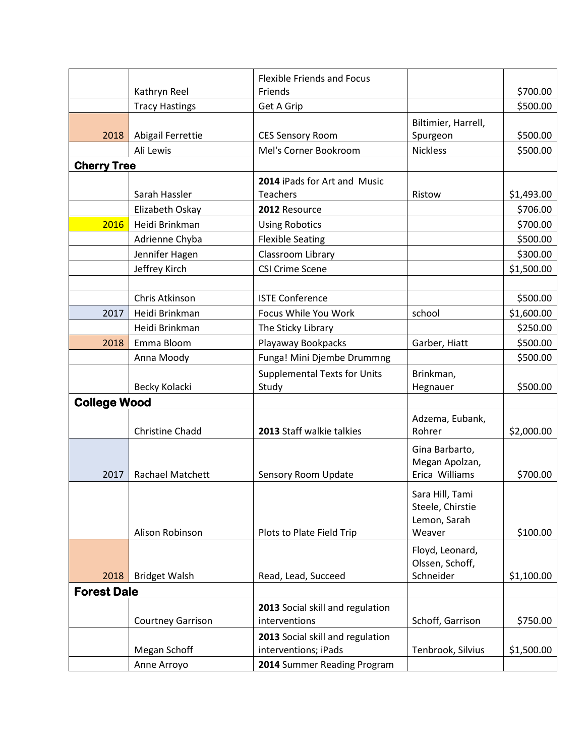|                     |                          | <b>Flexible Friends and Focus</b>   |                     |            |
|---------------------|--------------------------|-------------------------------------|---------------------|------------|
|                     | Kathryn Reel             | Friends                             |                     | \$700.00   |
|                     | <b>Tracy Hastings</b>    | Get A Grip                          |                     | \$500.00   |
|                     |                          |                                     | Biltimier, Harrell, |            |
| 2018                | Abigail Ferrettie        | <b>CES Sensory Room</b>             | Spurgeon            | \$500.00   |
|                     | Ali Lewis                | Mel's Corner Bookroom               | <b>Nickless</b>     | \$500.00   |
| <b>Cherry Tree</b>  |                          |                                     |                     |            |
|                     |                          | 2014 iPads for Art and Music        |                     |            |
|                     | Sarah Hassler            | Teachers                            | Ristow              | \$1,493.00 |
|                     | Elizabeth Oskay          | 2012 Resource                       |                     | \$706.00   |
| 2016                | Heidi Brinkman           | <b>Using Robotics</b>               |                     | \$700.00   |
|                     | Adrienne Chyba           | <b>Flexible Seating</b>             |                     | \$500.00   |
|                     | Jennifer Hagen           | Classroom Library                   |                     | \$300.00   |
|                     | Jeffrey Kirch            | <b>CSI Crime Scene</b>              |                     | \$1,500.00 |
|                     |                          |                                     |                     |            |
|                     | Chris Atkinson           | <b>ISTE Conference</b>              |                     | \$500.00   |
| 2017                | Heidi Brinkman           | Focus While You Work                | school              | \$1,600.00 |
|                     | Heidi Brinkman           | The Sticky Library                  |                     | \$250.00   |
| 2018                | Emma Bloom               | Playaway Bookpacks                  | Garber, Hiatt       | \$500.00   |
|                     | Anna Moody               | Funga! Mini Djembe Drummng          |                     | \$500.00   |
|                     |                          | <b>Supplemental Texts for Units</b> | Brinkman,           |            |
|                     | Becky Kolacki            | Study                               | Hegnauer            | \$500.00   |
| <b>College Wood</b> |                          |                                     |                     |            |
|                     |                          |                                     | Adzema, Eubank,     |            |
|                     | <b>Christine Chadd</b>   | 2013 Staff walkie talkies           | Rohrer              | \$2,000.00 |
|                     |                          |                                     | Gina Barbarto,      |            |
|                     |                          |                                     | Megan Apolzan,      |            |
| 2017                | <b>Rachael Matchett</b>  | Sensory Room Update                 | Erica Williams      | \$700.00   |
|                     |                          |                                     | Sara Hill, Tami     |            |
|                     |                          |                                     | Steele, Chirstie    |            |
|                     |                          |                                     | Lemon, Sarah        |            |
|                     | Alison Robinson          | Plots to Plate Field Trip           | Weaver              | \$100.00   |
|                     |                          |                                     | Floyd, Leonard,     |            |
|                     |                          |                                     | Olssen, Schoff,     |            |
| 2018                | <b>Bridget Walsh</b>     | Read, Lead, Succeed                 | Schneider           | \$1,100.00 |
| <b>Forest Dale</b>  |                          |                                     |                     |            |
|                     |                          | 2013 Social skill and regulation    |                     |            |
|                     | <b>Courtney Garrison</b> | interventions                       | Schoff, Garrison    | \$750.00   |
|                     |                          | 2013 Social skill and regulation    |                     |            |
|                     | Megan Schoff             | interventions; iPads                | Tenbrook, Silvius   | \$1,500.00 |
|                     | Anne Arroyo              | 2014 Summer Reading Program         |                     |            |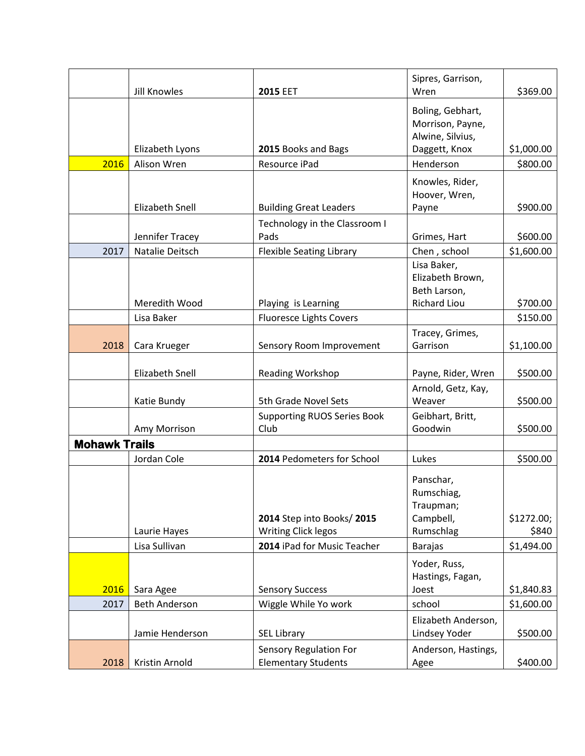|                      |                        |                                                         | Sipres, Garrison,                                                      |                     |
|----------------------|------------------------|---------------------------------------------------------|------------------------------------------------------------------------|---------------------|
|                      | <b>Jill Knowles</b>    | <b>2015 EET</b>                                         | Wren                                                                   | \$369.00            |
|                      |                        |                                                         | Boling, Gebhart,<br>Morrison, Payne,<br>Alwine, Silvius,               |                     |
|                      | Elizabeth Lyons        | 2015 Books and Bags                                     | Daggett, Knox                                                          | \$1,000.00          |
| 2016                 | Alison Wren            | Resource iPad                                           | Henderson                                                              | \$800.00            |
|                      | <b>Elizabeth Snell</b> | <b>Building Great Leaders</b>                           | Knowles, Rider,<br>Hoover, Wren,<br>Payne                              | \$900.00            |
|                      |                        | Technology in the Classroom I                           |                                                                        |                     |
|                      | Jennifer Tracey        | Pads                                                    | Grimes, Hart                                                           | \$600.00            |
| 2017                 | Natalie Deitsch        | <b>Flexible Seating Library</b>                         | Chen, school                                                           | \$1,600.00          |
|                      | Meredith Wood          | Playing is Learning                                     | Lisa Baker,<br>Elizabeth Brown,<br>Beth Larson,<br><b>Richard Liou</b> | \$700.00            |
|                      | Lisa Baker             | <b>Fluoresce Lights Covers</b>                          |                                                                        | \$150.00            |
| 2018                 | Cara Krueger           | Sensory Room Improvement                                | Tracey, Grimes,<br>Garrison                                            | \$1,100.00          |
|                      | <b>Elizabeth Snell</b> | Reading Workshop                                        | Payne, Rider, Wren                                                     | \$500.00            |
|                      |                        |                                                         | Arnold, Getz, Kay,                                                     |                     |
|                      | Katie Bundy            | 5th Grade Novel Sets                                    | Weaver                                                                 | \$500.00            |
|                      | Amy Morrison           | <b>Supporting RUOS Series Book</b><br>Club              | Geibhart, Britt,<br>Goodwin                                            | \$500.00            |
| <b>Mohawk Trails</b> |                        |                                                         |                                                                        |                     |
|                      | Jordan Cole            | 2014 Pedometers for School                              | Lukes                                                                  | \$500.00            |
|                      | Laurie Hayes           | 2014 Step into Books/2015<br><b>Writing Click legos</b> | Panschar,<br>Rumschiag,<br>Traupman;<br>Campbell,<br>Rumschlag         | \$1272.00;<br>\$840 |
|                      | Lisa Sullivan          | 2014 iPad for Music Teacher                             | <b>Barajas</b>                                                         | \$1,494.00          |
|                      |                        |                                                         | Yoder, Russ,<br>Hastings, Fagan,                                       |                     |
| 2016                 | Sara Agee              | <b>Sensory Success</b>                                  | Joest                                                                  | \$1,840.83          |
| 2017                 | <b>Beth Anderson</b>   | Wiggle While Yo work                                    | school                                                                 | \$1,600.00          |
|                      | Jamie Henderson        | <b>SEL Library</b>                                      | Elizabeth Anderson,<br>Lindsey Yoder                                   | \$500.00            |
| 2018                 | Kristin Arnold         | Sensory Regulation For<br><b>Elementary Students</b>    | Anderson, Hastings,<br>Agee                                            | \$400.00            |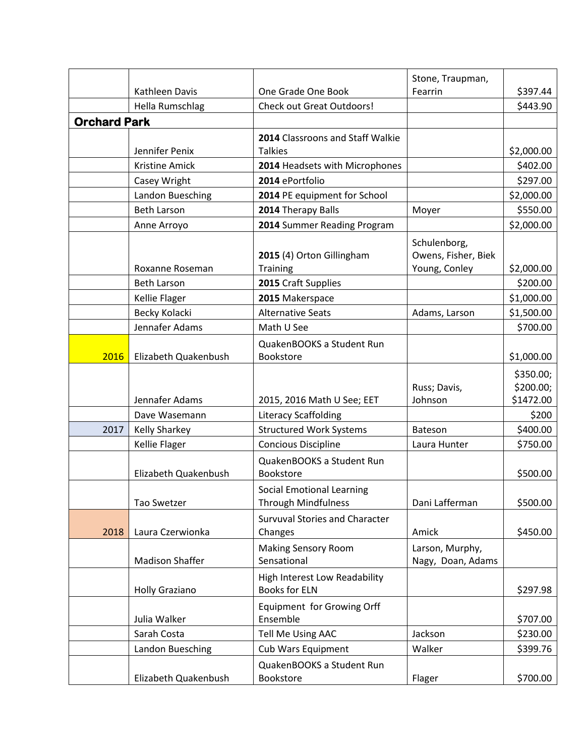|                     |                        |                                                              | Stone, Traupman,    |            |
|---------------------|------------------------|--------------------------------------------------------------|---------------------|------------|
|                     | Kathleen Davis         | One Grade One Book                                           | Fearrin             | \$397.44   |
|                     | Hella Rumschlag        | <b>Check out Great Outdoors!</b>                             |                     | \$443.90   |
| <b>Orchard Park</b> |                        |                                                              |                     |            |
|                     |                        | 2014 Classroons and Staff Walkie                             |                     |            |
|                     | Jennifer Penix         | <b>Talkies</b>                                               |                     | \$2,000.00 |
|                     | <b>Kristine Amick</b>  | 2014 Headsets with Microphones                               |                     | \$402.00   |
|                     | Casey Wright           | 2014 ePortfolio                                              |                     | \$297.00   |
|                     | Landon Buesching       | 2014 PE equipment for School                                 |                     | \$2,000.00 |
|                     | <b>Beth Larson</b>     | 2014 Therapy Balls                                           | Moyer               | \$550.00   |
|                     | Anne Arroyo            | 2014 Summer Reading Program                                  |                     | \$2,000.00 |
|                     |                        |                                                              | Schulenborg,        |            |
|                     |                        | 2015 (4) Orton Gillingham                                    | Owens, Fisher, Biek |            |
|                     | Roxanne Roseman        | Training                                                     | Young, Conley       | \$2,000.00 |
|                     | <b>Beth Larson</b>     | 2015 Craft Supplies                                          |                     | \$200.00   |
|                     | Kellie Flager          | 2015 Makerspace                                              |                     | \$1,000.00 |
|                     | Becky Kolacki          | <b>Alternative Seats</b>                                     | Adams, Larson       | \$1,500.00 |
|                     | Jennafer Adams         | Math U See                                                   |                     | \$700.00   |
|                     |                        | QuakenBOOKS a Student Run                                    |                     |            |
| 2016                | Elizabeth Quakenbush   | Bookstore                                                    |                     | \$1,000.00 |
|                     |                        |                                                              |                     | \$350.00;  |
|                     |                        |                                                              | Russ; Davis,        | \$200.00;  |
|                     | Jennafer Adams         | 2015, 2016 Math U See; EET                                   | Johnson             | \$1472.00  |
|                     | Dave Wasemann          | <b>Literacy Scaffolding</b>                                  |                     | \$200      |
| 2017                | <b>Kelly Sharkey</b>   | <b>Structured Work Systems</b>                               | <b>Bateson</b>      | \$400.00   |
|                     | <b>Kellie Flager</b>   | <b>Concious Discipline</b>                                   | Laura Hunter        | \$750.00   |
|                     |                        | QuakenBOOKS a Student Run                                    |                     |            |
|                     | Elizabeth Quakenbush   | Bookstore                                                    |                     | \$500.00   |
|                     |                        | <b>Social Emotional Learning</b>                             |                     |            |
|                     | Tao Swetzer            | <b>Through Mindfulness</b>                                   | Dani Lafferman      | \$500.00   |
|                     |                        | <b>Survuval Stories and Character</b>                        |                     |            |
| 2018                | Laura Czerwionka       | Changes                                                      | Amick               | \$450.00   |
|                     |                        | <b>Making Sensory Room</b>                                   | Larson, Murphy,     |            |
|                     | <b>Madison Shaffer</b> | Sensational                                                  | Nagy, Doan, Adams   |            |
|                     |                        | <b>High Interest Low Readability</b><br><b>Books for ELN</b> |                     |            |
|                     | <b>Holly Graziano</b>  |                                                              |                     | \$297.98   |
|                     | Julia Walker           | Equipment for Growing Orff<br>Ensemble                       |                     | \$707.00   |
|                     | Sarah Costa            | Tell Me Using AAC                                            | Jackson             | \$230.00   |
|                     | Landon Buesching       | <b>Cub Wars Equipment</b>                                    | Walker              | \$399.76   |
|                     |                        |                                                              |                     |            |
|                     | Elizabeth Quakenbush   | QuakenBOOKS a Student Run<br>Bookstore                       | Flager              | \$700.00   |
|                     |                        |                                                              |                     |            |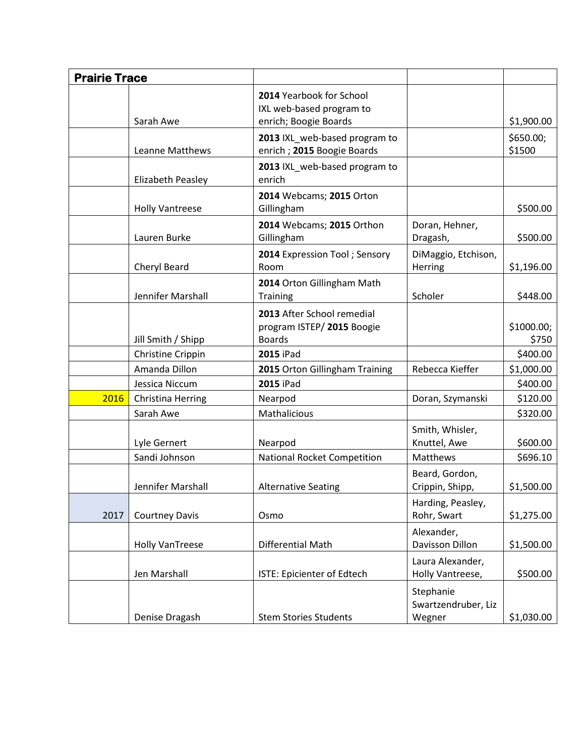| <b>Prairie Trace</b> |                          |                                                                               |                                            |                     |
|----------------------|--------------------------|-------------------------------------------------------------------------------|--------------------------------------------|---------------------|
|                      | Sarah Awe                | 2014 Yearbook for School<br>IXL web-based program to<br>enrich; Boogie Boards |                                            | \$1,900.00          |
|                      | Leanne Matthews          | 2013 IXL web-based program to<br>enrich ; 2015 Boogie Boards                  |                                            | \$650.00;<br>\$1500 |
|                      | <b>Elizabeth Peasley</b> | 2013 IXL web-based program to<br>enrich                                       |                                            |                     |
|                      | <b>Holly Vantreese</b>   | 2014 Webcams; 2015 Orton<br>Gillingham                                        |                                            | \$500.00            |
|                      | Lauren Burke             | 2014 Webcams; 2015 Orthon<br>Gillingham                                       | Doran, Hehner,<br>Dragash,                 | \$500.00            |
|                      | Cheryl Beard             | 2014 Expression Tool; Sensory<br>Room                                         | DiMaggio, Etchison,<br>Herring             | \$1,196.00          |
|                      | Jennifer Marshall        | 2014 Orton Gillingham Math<br><b>Training</b>                                 | Scholer                                    | \$448.00            |
|                      | Jill Smith / Shipp       | 2013 After School remedial<br>program ISTEP/2015 Boogie<br><b>Boards</b>      |                                            | \$1000.00;<br>\$750 |
|                      | Christine Crippin        | <b>2015 iPad</b>                                                              |                                            | \$400.00            |
|                      | Amanda Dillon            | 2015 Orton Gillingham Training                                                | Rebecca Kieffer                            | \$1,000.00          |
|                      | Jessica Niccum           | <b>2015 iPad</b>                                                              |                                            | \$400.00            |
| 2016                 | <b>Christina Herring</b> | Nearpod                                                                       | Doran, Szymanski                           | \$120.00            |
|                      | Sarah Awe                | Mathalicious                                                                  |                                            | \$320.00            |
|                      | Lyle Gernert             | Nearpod                                                                       | Smith, Whisler,<br>Knuttel, Awe            | \$600.00            |
|                      | Sandi Johnson            | National Rocket Competition                                                   | Matthews                                   | \$696.10            |
|                      | Jennifer Marshall        | <b>Alternative Seating</b>                                                    | Beard, Gordon,<br>Crippin, Shipp,          | \$1,500.00          |
| 2017                 | <b>Courtney Davis</b>    | Osmo                                                                          | Harding, Peasley,<br>Rohr, Swart           | \$1,275.00          |
|                      | <b>Holly VanTreese</b>   | <b>Differential Math</b>                                                      | Alexander,<br>Davisson Dillon              | \$1,500.00          |
|                      | Jen Marshall             | ISTE: Epicienter of Edtech                                                    | Laura Alexander,<br>Holly Vantreese,       | \$500.00            |
|                      | Denise Dragash           | <b>Stem Stories Students</b>                                                  | Stephanie<br>Swartzendruber, Liz<br>Wegner | \$1,030.00          |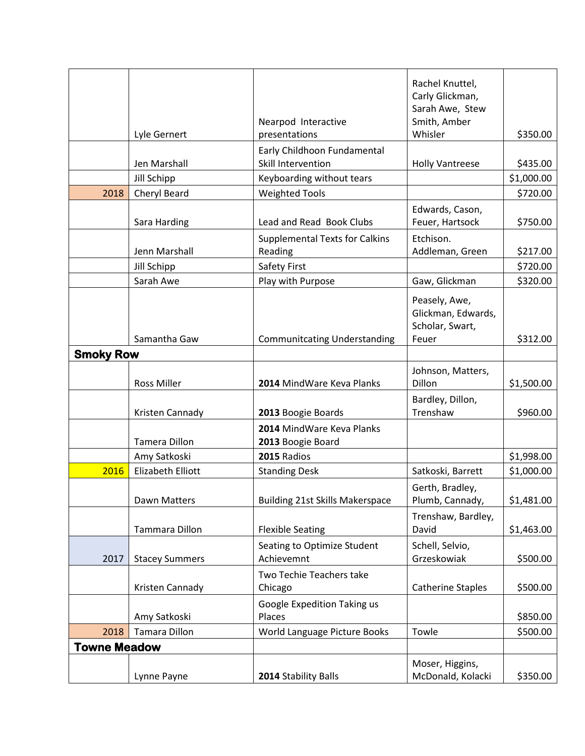|                     | Lyle Gernert             | Nearpod Interactive<br>presentations                     | Rachel Knuttel,<br>Carly Glickman,<br>Sarah Awe, Stew<br>Smith, Amber<br>Whisler | \$350.00             |
|---------------------|--------------------------|----------------------------------------------------------|----------------------------------------------------------------------------------|----------------------|
|                     |                          | Early Childhoon Fundamental                              |                                                                                  |                      |
|                     | Jen Marshall             | Skill Intervention                                       | <b>Holly Vantreese</b>                                                           | \$435.00             |
|                     | Jill Schipp              | Keyboarding without tears                                |                                                                                  | \$1,000.00           |
| 2018                | Cheryl Beard             | <b>Weighted Tools</b>                                    |                                                                                  | \$720.00             |
|                     | Sara Harding             | Lead and Read Book Clubs                                 | Edwards, Cason,<br>Feuer, Hartsock                                               | \$750.00             |
|                     | Jenn Marshall            | <b>Supplemental Texts for Calkins</b>                    | Etchison.                                                                        |                      |
|                     | Jill Schipp              | Reading<br>Safety First                                  | Addleman, Green                                                                  | \$217.00<br>\$720.00 |
|                     | Sarah Awe                |                                                          |                                                                                  |                      |
|                     | Samantha Gaw             | Play with Purpose<br><b>Communitcating Understanding</b> | Gaw, Glickman<br>Peasely, Awe,<br>Glickman, Edwards,<br>Scholar, Swart,<br>Feuer | \$320.00<br>\$312.00 |
|                     |                          |                                                          |                                                                                  |                      |
| <b>Smoky Row</b>    |                          |                                                          |                                                                                  |                      |
|                     | <b>Ross Miller</b>       | 2014 MindWare Keva Planks                                | Johnson, Matters,<br>Dillon                                                      | \$1,500.00           |
|                     | Kristen Cannady          | 2013 Boogie Boards                                       | Bardley, Dillon,<br>Trenshaw                                                     | \$960.00             |
|                     | <b>Tamera Dillon</b>     | 2014 MindWare Keva Planks<br>2013 Boogie Board           |                                                                                  |                      |
|                     | Amy Satkoski             | 2015 Radios                                              |                                                                                  | \$1,998.00           |
| 2016                | <b>Elizabeth Elliott</b> | <b>Standing Desk</b>                                     | Satkoski, Barrett                                                                | \$1,000.00           |
|                     | Dawn Matters             | <b>Building 21st Skills Makerspace</b>                   | Gerth, Bradley,<br>Plumb, Cannady,                                               | \$1,481.00           |
|                     | Tammara Dillon           | <b>Flexible Seating</b>                                  | Trenshaw, Bardley,<br>David                                                      | \$1,463.00           |
| 2017                | <b>Stacey Summers</b>    | Seating to Optimize Student<br>Achievemnt                | Schell, Selvio,<br>Grzeskowiak                                                   | \$500.00             |
|                     | Kristen Cannady          | Two Techie Teachers take<br>Chicago                      | <b>Catherine Staples</b>                                                         | \$500.00             |
|                     | Amy Satkoski             | Google Expedition Taking us<br>Places                    |                                                                                  | \$850.00             |
| 2018                | Tamara Dillon            | World Language Picture Books                             | Towle                                                                            | \$500.00             |
| <b>Towne Meadow</b> |                          |                                                          |                                                                                  |                      |
|                     | Lynne Payne              | 2014 Stability Balls                                     | Moser, Higgins,<br>McDonald, Kolacki                                             | \$350.00             |
|                     |                          |                                                          |                                                                                  |                      |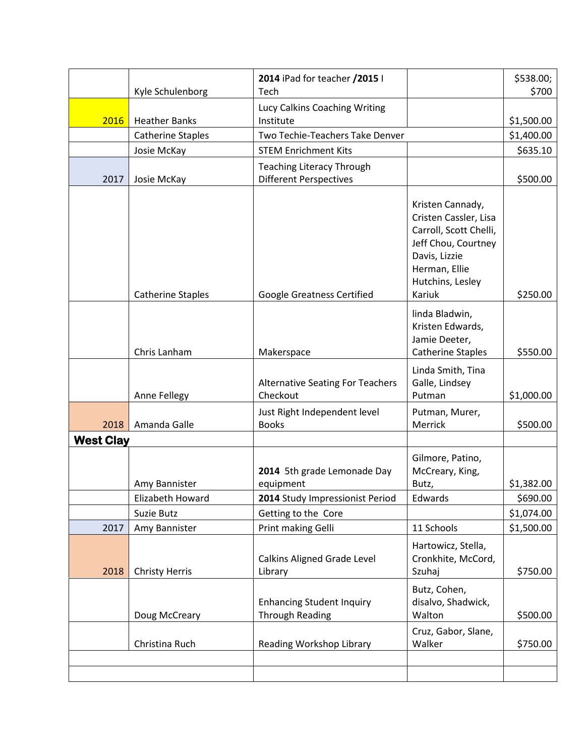|                  | Kyle Schulenborg                  | 2014 iPad for teacher /2015 I<br>Tech                                       |                                                                                                                                                            | \$538.00;<br>\$700     |
|------------------|-----------------------------------|-----------------------------------------------------------------------------|------------------------------------------------------------------------------------------------------------------------------------------------------------|------------------------|
| 2016             | <b>Heather Banks</b>              | Lucy Calkins Coaching Writing<br>Institute                                  |                                                                                                                                                            | \$1,500.00             |
|                  | <b>Catherine Staples</b>          | Two Techie-Teachers Take Denver                                             |                                                                                                                                                            | \$1,400.00             |
|                  | Josie McKay                       | <b>STEM Enrichment Kits</b>                                                 |                                                                                                                                                            | \$635.10               |
|                  |                                   | <b>Teaching Literacy Through</b>                                            |                                                                                                                                                            |                        |
| 2017             | Josie McKay                       | <b>Different Perspectives</b>                                               |                                                                                                                                                            | \$500.00               |
|                  | <b>Catherine Staples</b>          | <b>Google Greatness Certified</b>                                           | Kristen Cannady,<br>Cristen Cassler, Lisa<br>Carroll, Scott Chelli,<br>Jeff Chou, Courtney<br>Davis, Lizzie<br>Herman, Ellie<br>Hutchins, Lesley<br>Kariuk | \$250.00               |
|                  | Chris Lanham                      | Makerspace                                                                  | linda Bladwin,<br>Kristen Edwards,<br>Jamie Deeter,<br><b>Catherine Staples</b>                                                                            | \$550.00               |
|                  | Anne Fellegy                      | <b>Alternative Seating For Teachers</b><br>Checkout                         | Linda Smith, Tina<br>Galle, Lindsey<br>Putman                                                                                                              | \$1,000.00             |
| 2018             | Amanda Galle                      | Just Right Independent level<br><b>Books</b>                                | Putman, Murer,<br>Merrick                                                                                                                                  | \$500.00               |
| <b>West Clay</b> |                                   |                                                                             |                                                                                                                                                            |                        |
|                  | Amy Bannister<br>Elizabeth Howard | 2014 5th grade Lemonade Day<br>equipment<br>2014 Study Impressionist Period | Gilmore, Patino,<br>McCreary, King,<br>Butz,<br>Edwards                                                                                                    | \$1,382.00<br>\$690.00 |
|                  | Suzie Butz                        | Getting to the Core                                                         |                                                                                                                                                            | \$1,074.00             |
| 2017             | Amy Bannister                     | Print making Gelli                                                          | 11 Schools                                                                                                                                                 | \$1,500.00             |
| 2018             | <b>Christy Herris</b>             | <b>Calkins Aligned Grade Level</b><br>Library                               | Hartowicz, Stella,<br>Cronkhite, McCord,<br>Szuhaj                                                                                                         | \$750.00               |
|                  | Doug McCreary                     | <b>Enhancing Student Inquiry</b><br><b>Through Reading</b>                  | Butz, Cohen,<br>disalvo, Shadwick,<br>Walton                                                                                                               | \$500.00               |
|                  | Christina Ruch                    | Reading Workshop Library                                                    | Cruz, Gabor, Slane,<br>Walker                                                                                                                              | \$750.00               |
|                  |                                   |                                                                             |                                                                                                                                                            |                        |